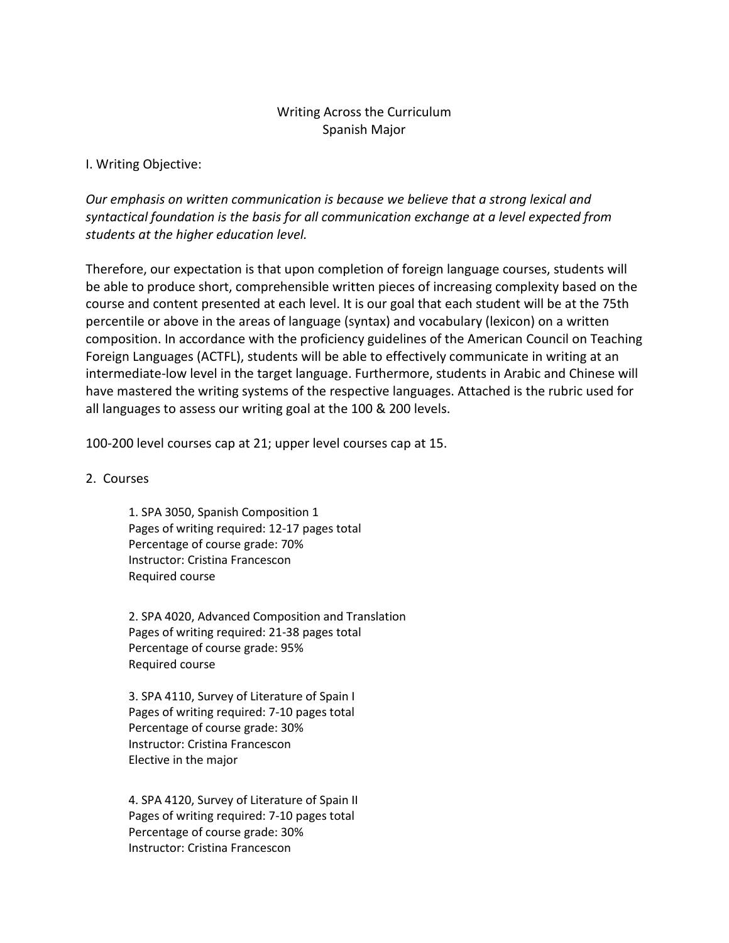#### Writing Across the Curriculum Spanish Major

#### I. Writing Objective:

*Our emphasis on written communication is because we believe that a strong lexical and syntactical foundation is the basis for all communication exchange at a level expected from students at the higher education level.*

Therefore, our expectation is that upon completion of foreign language courses, students will be able to produce short, comprehensible written pieces of increasing complexity based on the course and content presented at each level. It is our goal that each student will be at the 75th percentile or above in the areas of language (syntax) and vocabulary (lexicon) on a written composition. In accordance with the proficiency guidelines of the American Council on Teaching Foreign Languages (ACTFL), students will be able to effectively communicate in writing at an intermediate-low level in the target language. Furthermore, students in Arabic and Chinese will have mastered the writing systems of the respective languages. Attached is the rubric used for all languages to assess our writing goal at the 100 & 200 levels.

100-200 level courses cap at 21; upper level courses cap at 15.

2. Courses

1. SPA 3050, Spanish Composition 1 Pages of writing required: 12-17 pages total Percentage of course grade: 70% Instructor: Cristina Francescon Required course

2. SPA 4020, Advanced Composition and Translation Pages of writing required: 21-38 pages total Percentage of course grade: 95% Required course

3. SPA 4110, Survey of Literature of Spain I Pages of writing required: 7-10 pages total Percentage of course grade: 30% Instructor: Cristina Francescon Elective in the major

4. SPA 4120, Survey of Literature of Spain II Pages of writing required: 7-10 pages total Percentage of course grade: 30% Instructor: Cristina Francescon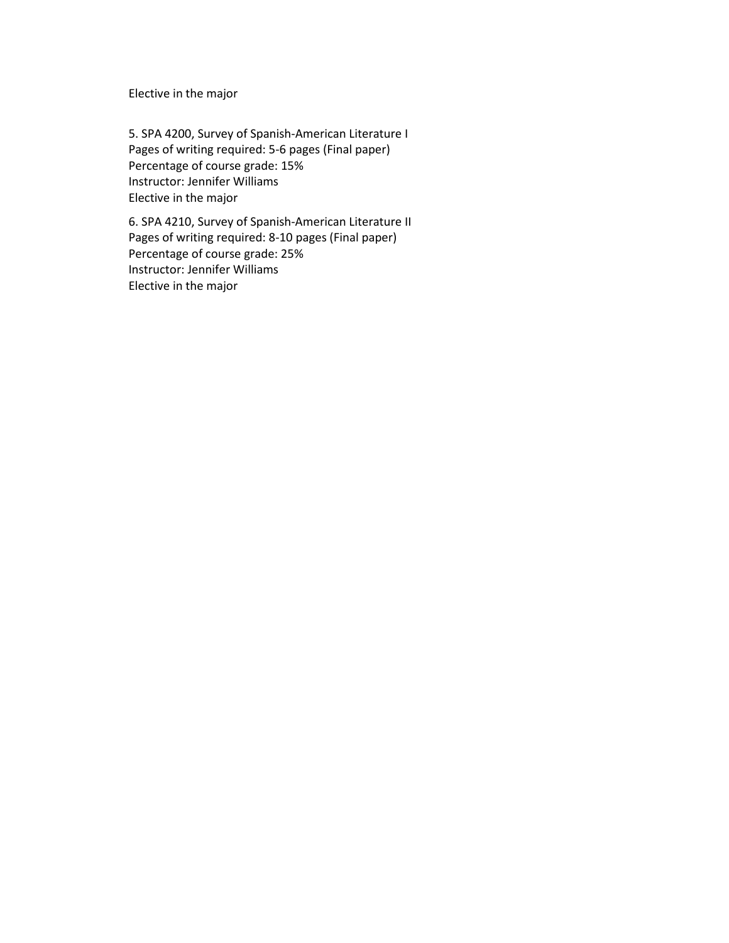Elective in the major

5. SPA 4200, Survey of Spanish-American Literature I Pages of writing required: 5-6 pages (Final paper) Percentage of course grade: 15% Instructor: Jennifer Williams Elective in the major

6. SPA 4210, Survey of Spanish-American Literature II Pages of writing required: 8-10 pages (Final paper) Percentage of course grade: 25% Instructor: Jennifer Williams Elective in the major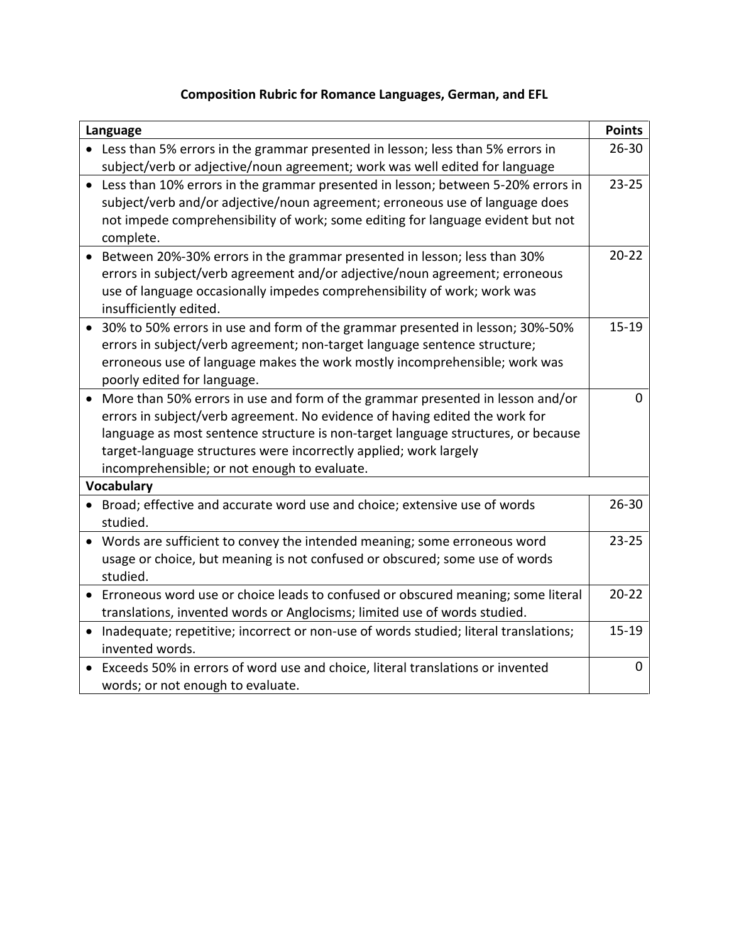# **Composition Rubric for Romance Languages, German, and EFL**

| Language                                                                              | <b>Points</b> |
|---------------------------------------------------------------------------------------|---------------|
| Less than 5% errors in the grammar presented in lesson; less than 5% errors in        | $26 - 30$     |
| subject/verb or adjective/noun agreement; work was well edited for language           |               |
| Less than 10% errors in the grammar presented in lesson; between 5-20% errors in      | $23 - 25$     |
| subject/verb and/or adjective/noun agreement; erroneous use of language does          |               |
| not impede comprehensibility of work; some editing for language evident but not       |               |
| complete.                                                                             |               |
| Between 20%-30% errors in the grammar presented in lesson; less than 30%<br>$\bullet$ | $20 - 22$     |
| errors in subject/verb agreement and/or adjective/noun agreement; erroneous           |               |
| use of language occasionally impedes comprehensibility of work; work was              |               |
| insufficiently edited.                                                                |               |
| 30% to 50% errors in use and form of the grammar presented in lesson; 30%-50%         | $15 - 19$     |
| errors in subject/verb agreement; non-target language sentence structure;             |               |
| erroneous use of language makes the work mostly incomprehensible; work was            |               |
| poorly edited for language.                                                           |               |
| More than 50% errors in use and form of the grammar presented in lesson and/or        | 0             |
| errors in subject/verb agreement. No evidence of having edited the work for           |               |
| language as most sentence structure is non-target language structures, or because     |               |
| target-language structures were incorrectly applied; work largely                     |               |
| incomprehensible; or not enough to evaluate.                                          |               |
| <b>Vocabulary</b>                                                                     |               |
| Broad; effective and accurate word use and choice; extensive use of words             | $26 - 30$     |
| studied.                                                                              |               |
| Words are sufficient to convey the intended meaning; some erroneous word<br>$\bullet$ | $23 - 25$     |
| usage or choice, but meaning is not confused or obscured; some use of words           |               |
| studied.                                                                              |               |
| Erroneous word use or choice leads to confused or obscured meaning; some literal      | $20 - 22$     |
| translations, invented words or Anglocisms; limited use of words studied.             |               |
| Inadequate; repetitive; incorrect or non-use of words studied; literal translations;  | $15 - 19$     |
| invented words.                                                                       |               |
| • Exceeds 50% in errors of word use and choice, literal translations or invented      | $\mathbf 0$   |
| words; or not enough to evaluate.                                                     |               |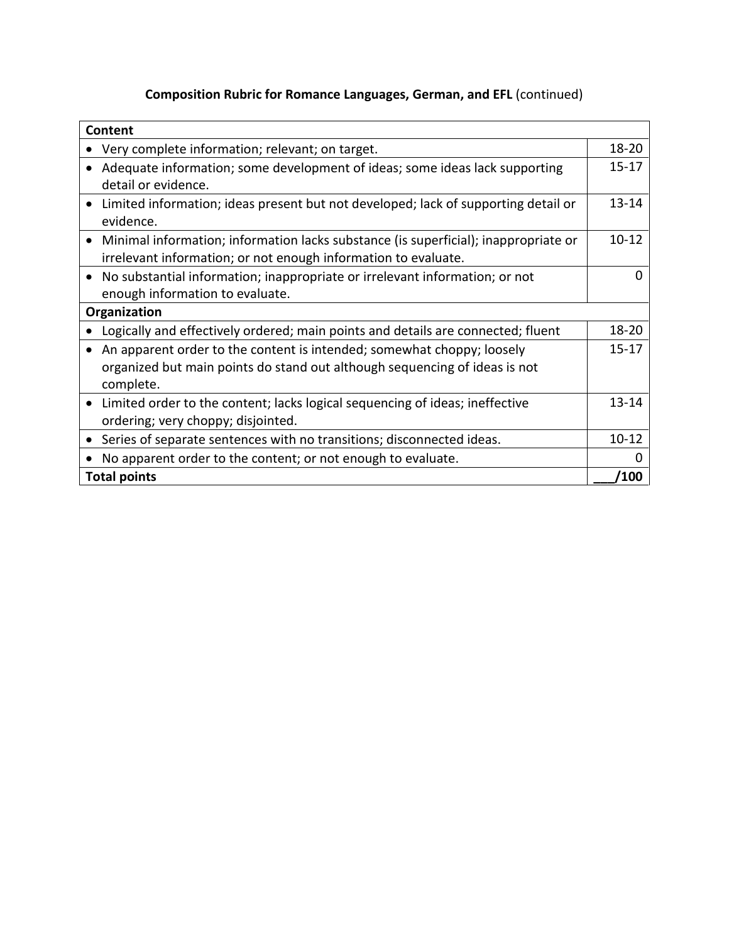# **Composition Rubric for Romance Languages, German, and EFL** (continued)

| Content                                                                                   |            |
|-------------------------------------------------------------------------------------------|------------|
| Very complete information; relevant; on target.                                           | $18 - 20$  |
| Adequate information; some development of ideas; some ideas lack supporting               | $15 - 17$  |
| detail or evidence.                                                                       |            |
| Limited information; ideas present but not developed; lack of supporting detail or        | $13 - 14$  |
| evidence.                                                                                 |            |
| Minimal information; information lacks substance (is superficial); inappropriate or       | $10 - 12$  |
| irrelevant information; or not enough information to evaluate.                            |            |
| No substantial information; inappropriate or irrelevant information; or not<br>$\bullet$  | O          |
| enough information to evaluate.                                                           |            |
| Organization                                                                              |            |
| Logically and effectively ordered; main points and details are connected; fluent          | $18 - 20$  |
| An apparent order to the content is intended; somewhat choppy; loosely                    | $15 - 17$  |
| organized but main points do stand out although sequencing of ideas is not                |            |
| complete.                                                                                 |            |
| Limited order to the content; lacks logical sequencing of ideas; ineffective<br>$\bullet$ | $13 - 14$  |
| ordering; very choppy; disjointed.                                                        |            |
| Series of separate sentences with no transitions; disconnected ideas.                     | $10 - 12$  |
| No apparent order to the content; or not enough to evaluate.                              | O          |
| <b>Total points</b>                                                                       | <b>100</b> |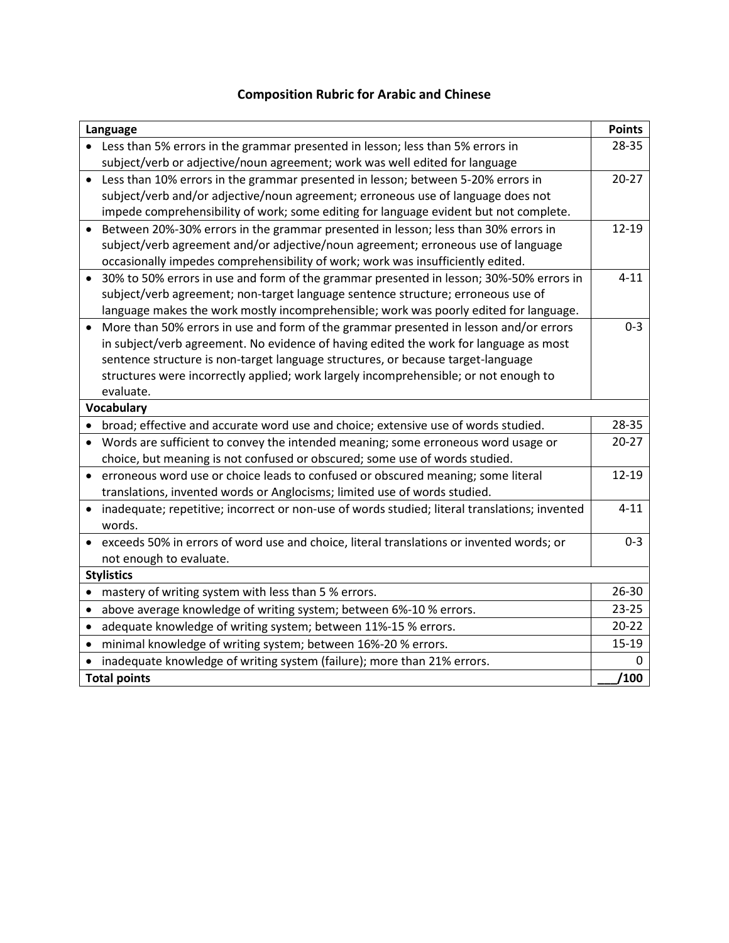### **Composition Rubric for Arabic and Chinese**

| Language                                                                                                   | <b>Points</b> |
|------------------------------------------------------------------------------------------------------------|---------------|
| Less than 5% errors in the grammar presented in lesson; less than 5% errors in                             | 28-35         |
| subject/verb or adjective/noun agreement; work was well edited for language                                |               |
| Less than 10% errors in the grammar presented in lesson; between 5-20% errors in<br>$\bullet$              | $20 - 27$     |
| subject/verb and/or adjective/noun agreement; erroneous use of language does not                           |               |
| impede comprehensibility of work; some editing for language evident but not complete.                      |               |
| Between 20%-30% errors in the grammar presented in lesson; less than 30% errors in                         | 12-19         |
| subject/verb agreement and/or adjective/noun agreement; erroneous use of language                          |               |
| occasionally impedes comprehensibility of work; work was insufficiently edited.                            |               |
| 30% to 50% errors in use and form of the grammar presented in lesson; 30%-50% errors in                    | $4 - 11$      |
| subject/verb agreement; non-target language sentence structure; erroneous use of                           |               |
| language makes the work mostly incomprehensible; work was poorly edited for language.                      |               |
| More than 50% errors in use and form of the grammar presented in lesson and/or errors                      | $0 - 3$       |
| in subject/verb agreement. No evidence of having edited the work for language as most                      |               |
| sentence structure is non-target language structures, or because target-language                           |               |
| structures were incorrectly applied; work largely incomprehensible; or not enough to                       |               |
| evaluate.                                                                                                  |               |
| <b>Vocabulary</b>                                                                                          |               |
| broad; effective and accurate word use and choice; extensive use of words studied.<br>$\bullet$            | 28-35         |
| Words are sufficient to convey the intended meaning; some erroneous word usage or                          | $20 - 27$     |
| choice, but meaning is not confused or obscured; some use of words studied.                                |               |
| erroneous word use or choice leads to confused or obscured meaning; some literal                           | 12-19         |
| translations, invented words or Anglocisms; limited use of words studied.                                  |               |
| inadequate; repetitive; incorrect or non-use of words studied; literal translations; invented<br>$\bullet$ | $4 - 11$      |
| words.                                                                                                     |               |
| exceeds 50% in errors of word use and choice, literal translations or invented words; or                   | $0 - 3$       |
| not enough to evaluate.                                                                                    |               |
| <b>Stylistics</b>                                                                                          |               |
| mastery of writing system with less than 5 % errors.<br>$\bullet$                                          | 26-30         |
| above average knowledge of writing system; between 6%-10 % errors.<br>$\bullet$                            | $23 - 25$     |
| adequate knowledge of writing system; between 11%-15 % errors.<br>$\bullet$                                | $20 - 22$     |
| minimal knowledge of writing system; between 16%-20 % errors.<br>$\bullet$                                 | $15-19$       |
| inadequate knowledge of writing system (failure); more than 21% errors.                                    | 0             |
| <b>Total points</b>                                                                                        | /100          |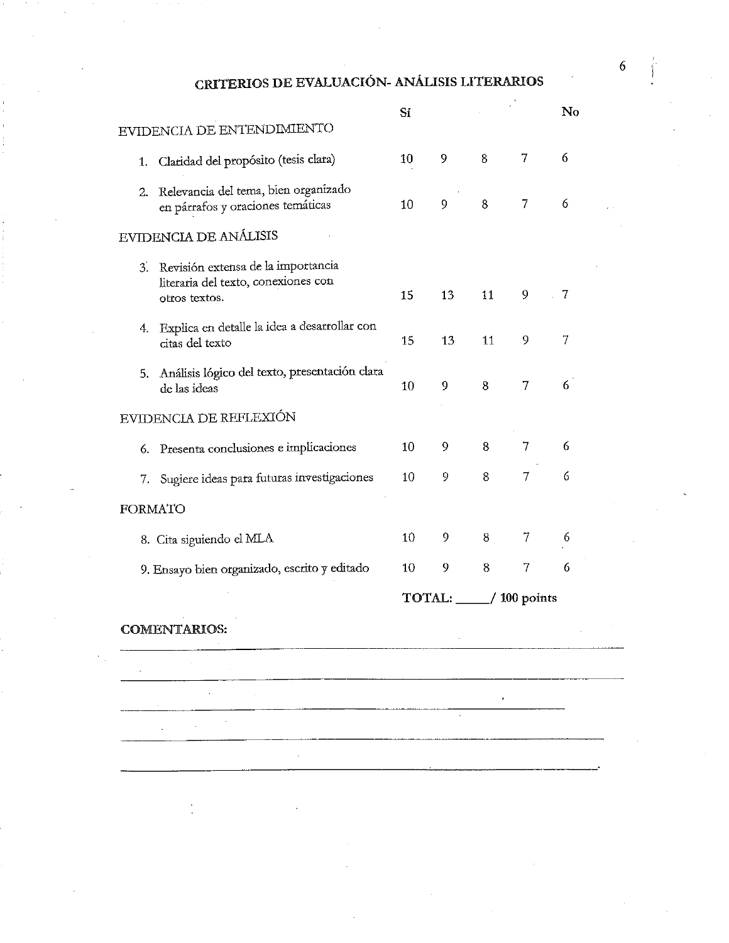CRITERIOS DE EVALUACIÓN- ANÁLISIS LITERARIOS

|                                                                                                  | Sí |    |                          |   | $\mathbf{N}$ o |
|--------------------------------------------------------------------------------------------------|----|----|--------------------------|---|----------------|
| EVIDENCIA DE ENTENDIMIENTO                                                                       |    |    |                          |   |                |
| Claridad del propósito (tesis clara)<br>1.                                                       | 10 | 9  | 8                        | 7 | 6              |
| Relevancia del tema, bien organizado<br>2.<br>en párrafos y oraciones temáticas                  | 10 | 9  | 8                        | 7 | 6              |
| EVIDENCIA DE ANÁLISIS                                                                            |    |    |                          |   |                |
| Revisión extensa de la importancia<br>3.<br>literaria del texto, conexiones con<br>otros textos. | 15 | 13 | 11                       | 9 | -7             |
| Explica en detalle la idea a desarrollar con<br>4.<br>citas del texto                            | 15 | 13 | 11                       | 9 | 7              |
| 5. Análisis lógico del texto, presentación clara<br>de las ideas                                 | 10 | 9  | 8                        | 7 | 6              |
| EVIDENCIA DE REFLEXIÓN                                                                           |    |    |                          |   |                |
| Presenta conclusiones e implicaciones<br>6.                                                      | 10 | 9  | 8                        | 7 | 6              |
| 7. Sugiere ideas para futuras investigaciones                                                    | 10 | 9  | 8                        | 7 | 6              |
| <b>FORMATO</b>                                                                                   |    |    |                          |   |                |
| 8. Cita siguiendo el MLA                                                                         | 10 | 9  | 8                        | 7 | 6              |
| 9. Ensayo bien organizado, escrito y editado                                                     | 10 | 9  | 8                        | 7 | 6              |
|                                                                                                  |    |    | TOTAL: _____/ 100 points |   |                |
| <b>COMENTARIOS:</b>                                                                              |    |    |                          |   |                |
|                                                                                                  |    |    |                          |   |                |
|                                                                                                  |    |    |                          |   |                |
|                                                                                                  |    |    |                          |   |                |
|                                                                                                  |    |    |                          |   |                |
|                                                                                                  |    |    |                          |   |                |
|                                                                                                  |    |    |                          |   |                |
|                                                                                                  |    |    |                          |   |                |

 $\sqrt{6}$